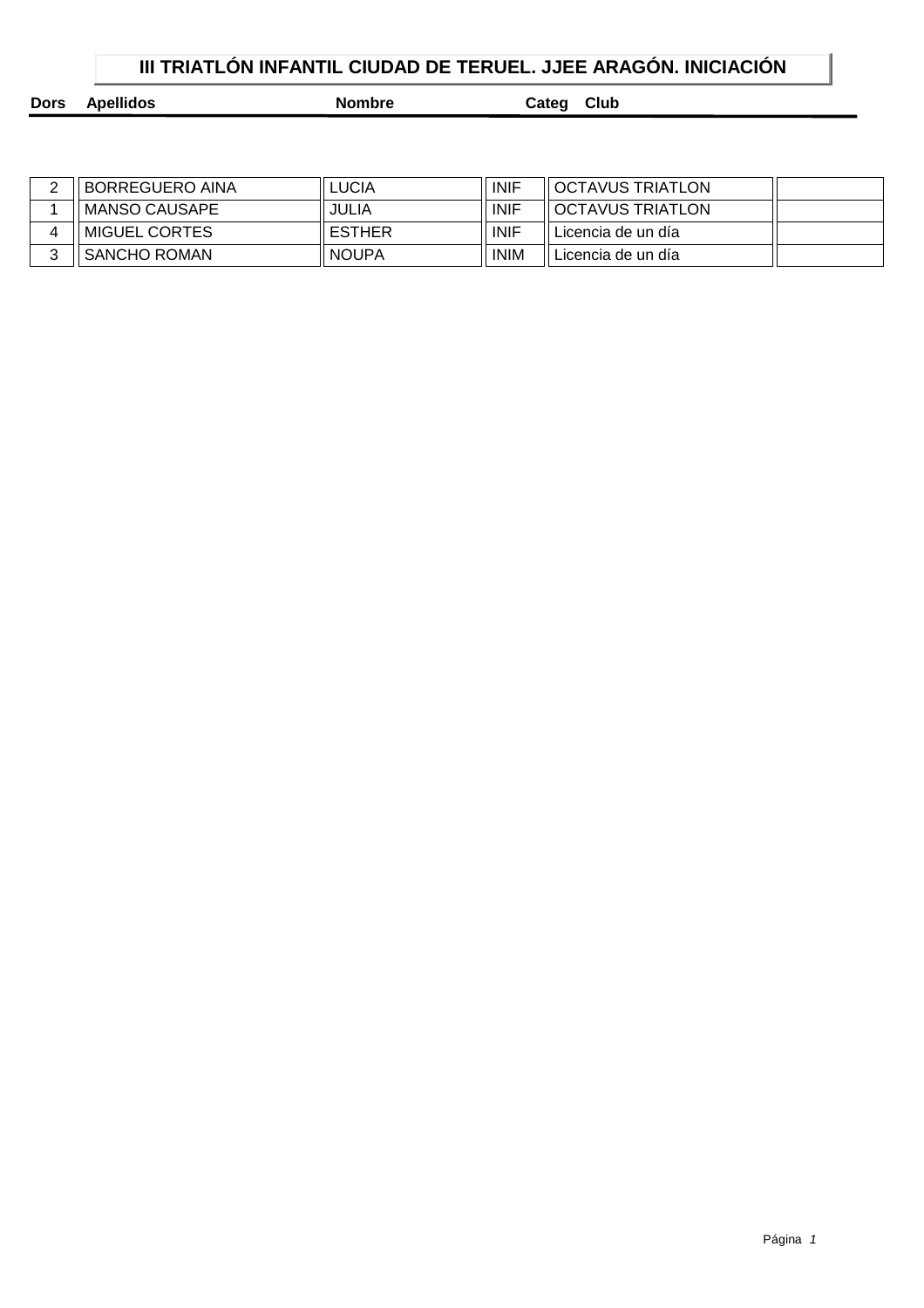## **III TRIATLÓN INFANTIL CIUDAD DE TERUEL. JJEE ARAGÓN. INICIACIÓN**

**Dors Apellidos Nombre Categ Club** 

| <b>BORREGUERO AINA</b> | .UCIA         | <b>INIF</b> | II OCTAVUS TRIATLON |  |
|------------------------|---------------|-------------|---------------------|--|
| MANSO CAUSAPE          | JULIA         | <b>INIF</b> | OCTAVUS TRIATLON    |  |
| MIGUEL CORTES          | <b>ESTHER</b> | <b>INIF</b> | Licencia de un día  |  |
| SANCHO ROMAN           | <b>NOUPA</b>  | <b>INIM</b> | Licencia de un día  |  |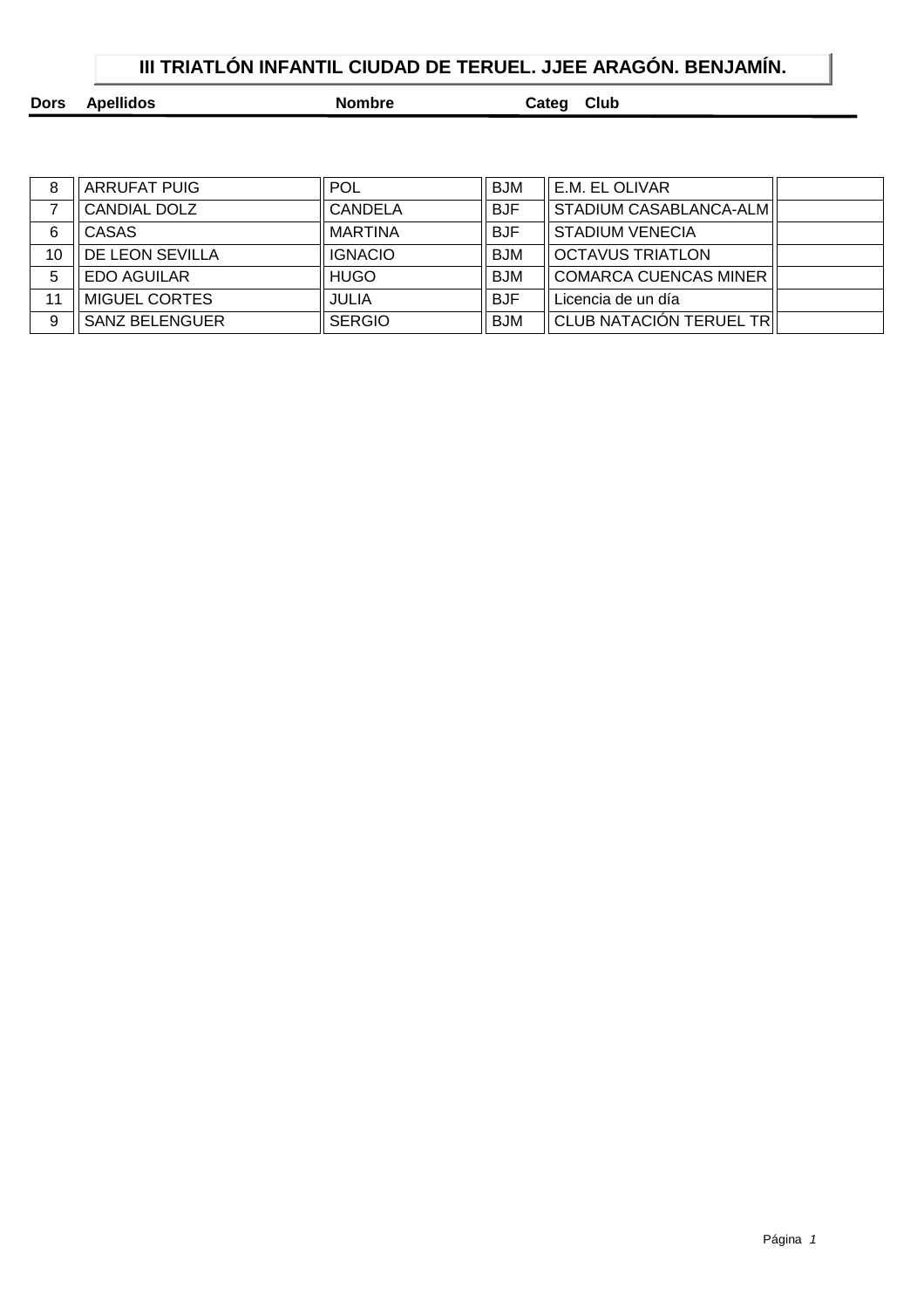|  | III TRIATLON INFANTIL CIUDAD DE TERUEL. JJEE ARAGON. BENJAMIN. |  |
|--|----------------------------------------------------------------|--|
|  |                                                                |  |

| Dors Apellidos | <b>Nombre</b> | Categ Club |
|----------------|---------------|------------|
|                |               |            |

| 8  | ARRUFAT PUIG          | <b>POL</b>     | <b>BJM</b> | E.M. EL OLIVAR               |  |
|----|-----------------------|----------------|------------|------------------------------|--|
|    | CANDIAL DOLZ          | CANDELA        | <b>BJF</b> | STADIUM CASABLANCA-ALM       |  |
| 6  | <b>CASAS</b>          | MARTINA        | <b>BJF</b> | <b>STADIUM VENECIA</b>       |  |
| 10 | DE LEON SEVILLA       | <b>IGNACIO</b> | <b>BJM</b> | <b>OCTAVUS TRIATLON</b>      |  |
| 5  | <b>EDO AGUILAR</b>    | <b>HUGO</b>    | <b>BJM</b> | <b>COMARCA CUENCAS MINER</b> |  |
| 11 | MIGUEL CORTES         | <b>JULIA</b>   | <b>BJF</b> | Licencia de un día           |  |
| 9  | <b>SANZ BELENGUER</b> | <b>SERGIO</b>  | <b>BJM</b> | CLUB NATACIÓN TERUEL TR      |  |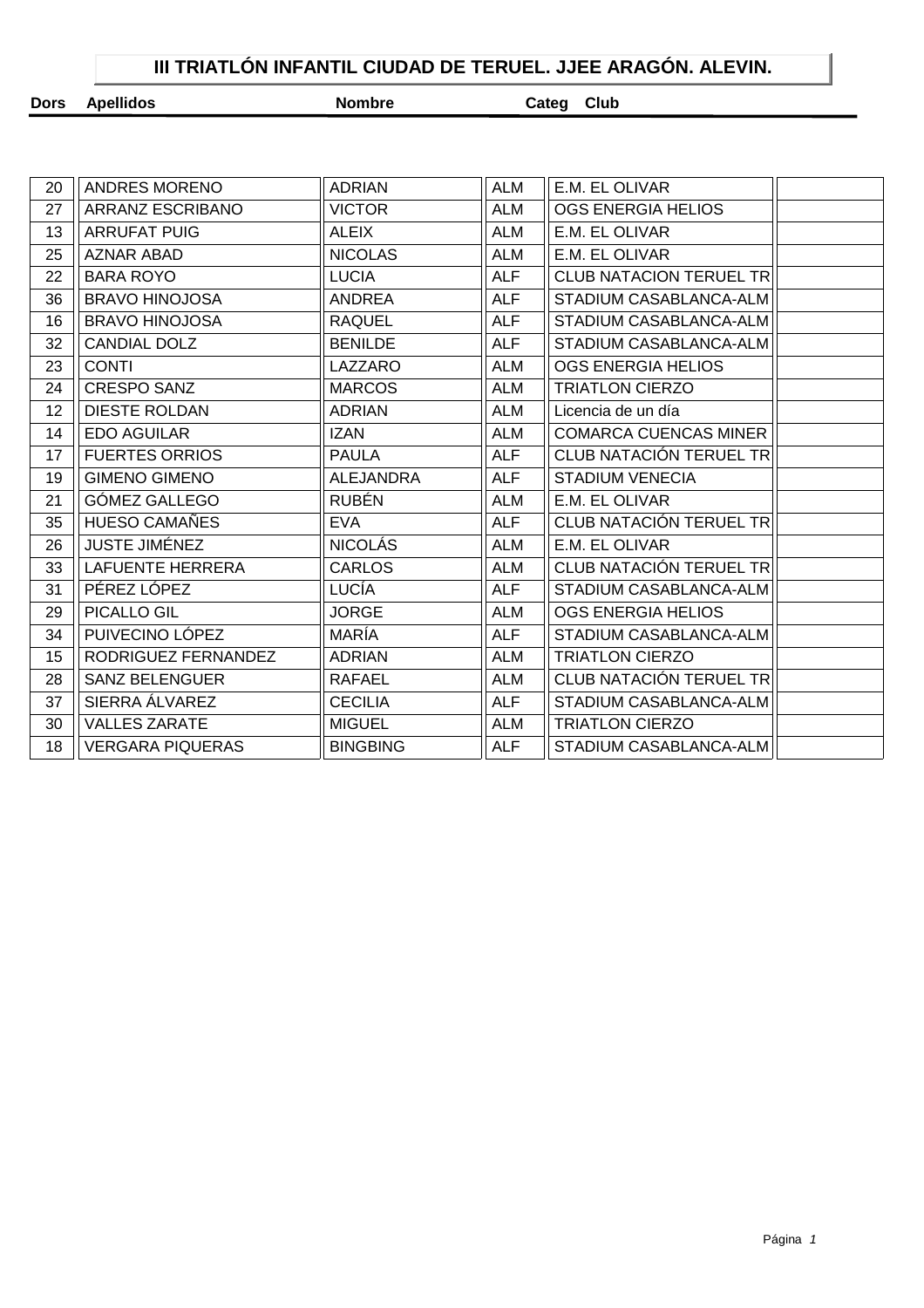## **III TRIATLÓN INFANTIL CIUDAD DE TERUEL. JJEE ARAGÓN. ALEVIN.**

| Dors | <b>Apellidos</b> |  |
|------|------------------|--|
|------|------------------|--|

**Nombre Categ Club** 

| 27 | ARRANZ ESCRIBANO        |                  |            |                                |  |
|----|-------------------------|------------------|------------|--------------------------------|--|
|    |                         | <b>VICTOR</b>    | <b>ALM</b> | OGS ENERGIA HELIOS             |  |
| 13 | <b>ARRUFAT PUIG</b>     | <b>ALEIX</b>     | <b>ALM</b> | E.M. EL OLIVAR                 |  |
| 25 | <b>AZNAR ABAD</b>       | <b>NICOLAS</b>   | <b>ALM</b> | E.M. EL OLIVAR                 |  |
| 22 | <b>BARA ROYO</b>        | <b>LUCIA</b>     | <b>ALF</b> | <b>CLUB NATACION TERUEL TR</b> |  |
| 36 | <b>BRAVO HINOJOSA</b>   | ANDREA           | <b>ALF</b> | STADIUM CASABLANCA-ALM         |  |
| 16 | <b>BRAVO HINOJOSA</b>   | <b>RAQUEL</b>    | <b>ALF</b> | STADIUM CASABLANCA-ALM         |  |
| 32 | <b>CANDIAL DOLZ</b>     | <b>BENILDE</b>   | <b>ALF</b> | STADIUM CASABLANCA-ALM         |  |
| 23 | <b>CONTI</b>            | LAZZARO          | <b>ALM</b> | OGS ENERGIA HELIOS             |  |
| 24 | <b>CRESPO SANZ</b>      | <b>MARCOS</b>    | <b>ALM</b> | <b>TRIATLON CIERZO</b>         |  |
| 12 | <b>DIESTE ROLDAN</b>    | <b>ADRIAN</b>    | <b>ALM</b> | Licencia de un día             |  |
| 14 | <b>EDO AGUILAR</b>      | <b>IZAN</b>      | <b>ALM</b> | <b>COMARCA CUENCAS MINER</b>   |  |
| 17 | <b>FUERTES ORRIOS</b>   | <b>PAULA</b>     | <b>ALF</b> | CLUB NATACIÓN TERUEL TR        |  |
| 19 | <b>GIMENO GIMENO</b>    | <b>ALEJANDRA</b> | <b>ALF</b> | <b>STADIUM VENECIA</b>         |  |
| 21 | GÓMEZ GALLEGO           | <b>RUBÉN</b>     | <b>ALM</b> | E.M. EL OLIVAR                 |  |
| 35 | <b>HUESO CAMAÑES</b>    | <b>EVA</b>       | <b>ALF</b> | CLUB NATACIÓN TERUEL TR        |  |
| 26 | <b>JUSTE JIMÉNEZ</b>    | <b>NICOLÁS</b>   | <b>ALM</b> | E.M. EL OLIVAR                 |  |
| 33 | <b>LAFUENTE HERRERA</b> | <b>CARLOS</b>    | <b>ALM</b> | CLUB NATACIÓN TERUEL TR        |  |
| 31 | PÉREZ LÓPEZ             | LUCÍA            | <b>ALF</b> | STADIUM CASABLANCA-ALM         |  |
| 29 | PICALLO GIL             | <b>JORGE</b>     | <b>ALM</b> | <b>OGS ENERGIA HELIOS</b>      |  |
| 34 | PUIVECINO LÓPEZ         | MARÍA            | <b>ALF</b> | STADIUM CASABLANCA-ALM         |  |
| 15 | RODRIGUEZ FERNANDEZ     | <b>ADRIAN</b>    | ALM        | <b>TRIATLON CIERZO</b>         |  |
| 28 | <b>SANZ BELENGUER</b>   | RAFAEL           | <b>ALM</b> | CLUB NATACIÓN TERUEL TR        |  |
| 37 | SIERRA ÁLVAREZ          | <b>CECILIA</b>   | <b>ALF</b> | STADIUM CASABLANCA-ALM         |  |
| 30 | <b>VALLES ZARATE</b>    | <b>MIGUEL</b>    | ALM        | <b>TRIATLON CIERZO</b>         |  |
| 18 | <b>VERGARA PIQUERAS</b> | <b>BINGBING</b>  | <b>ALF</b> | STADIUM CASABLANCA-ALM         |  |